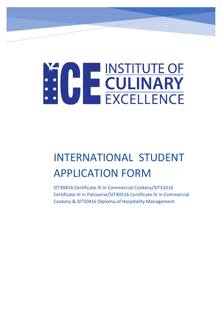# **ENSTITUTE OF SERVICE COLLINARY**

# INTERNATIONAL STUDENT APPLICATION FORM

SIT30816 Certificate III in Commercial Cookery/SIT31016 Certificate III in Patisserie/SIT40516 Certificate IV in Commercial Cookery & SIT50416 Diploma of Hospitality Management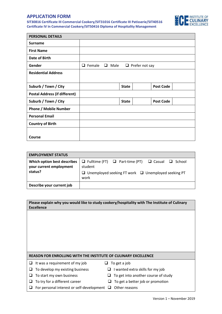## **APPLICATION FORM**

**SIT30816 Certificate III Commercial Cookery/SIT31016 Certificate III Patisserie/SIT40516 Certificate IV in Commercial Cookery/SIT50416 Diploma of Hospitality Management**



| <b>PERSONAL DETAILS</b>              |                                                        |  |              |  |                  |  |
|--------------------------------------|--------------------------------------------------------|--|--------------|--|------------------|--|
| <b>Surname</b>                       |                                                        |  |              |  |                  |  |
| <b>First Name</b>                    |                                                        |  |              |  |                  |  |
| Date of Birth                        |                                                        |  |              |  |                  |  |
| Gender                               | Female<br>Male<br>❏<br>$\Box$<br>$\Box$ Prefer not say |  |              |  |                  |  |
| <b>Residential Address</b>           |                                                        |  |              |  |                  |  |
|                                      |                                                        |  |              |  |                  |  |
| Suburb / Town / City                 |                                                        |  | <b>State</b> |  | <b>Post Code</b> |  |
| <b>Postal Address (if different)</b> |                                                        |  |              |  |                  |  |
| Suburb / Town / City                 |                                                        |  | <b>State</b> |  | <b>Post Code</b> |  |
| <b>Phone / Mobile Number</b>         |                                                        |  |              |  |                  |  |
| <b>Personal Email</b>                |                                                        |  |              |  |                  |  |
| <b>Country of Birth</b>              |                                                        |  |              |  |                  |  |
|                                      |                                                        |  |              |  |                  |  |
| Course                               |                                                        |  |              |  |                  |  |

| <b>EMPLOYMENT STATUS</b>                                          |                                                                                                                                                             |
|-------------------------------------------------------------------|-------------------------------------------------------------------------------------------------------------------------------------------------------------|
| Which option best describes<br>your current employment<br>status? | $\Box$ Fulltime (FT) $\Box$ Part-time (PT) $\Box$ Casual $\Box$ School<br>student<br>$\Box$ Unemployed seeking FT work $\Box$ Unemployed seeking PT<br>work |
| Describe your current job                                         |                                                                                                                                                             |

| Please explain why you would like to study cookery/hospitality with The Institute of Culinary<br><b>Excellence</b> |   |                                     |  |
|--------------------------------------------------------------------------------------------------------------------|---|-------------------------------------|--|
|                                                                                                                    |   |                                     |  |
|                                                                                                                    |   |                                     |  |
|                                                                                                                    |   |                                     |  |
|                                                                                                                    |   |                                     |  |
|                                                                                                                    |   |                                     |  |
| <b>REASON FOR ENROLLING WITH THE INSTITUTE OF CULINARY EXCELLENCE</b>                                              |   |                                     |  |
|                                                                                                                    |   |                                     |  |
| It was a requirement of my job                                                                                     | ⊔ | To get a job                        |  |
| To develop my existing business                                                                                    |   | I wanted extra skills for my job    |  |
| To start my own business                                                                                           |   | To get into another course of study |  |
| To try for a different career                                                                                      |   | To get a better job or promotion    |  |
| For personal interest or self-development                                                                          |   | Other reasons                       |  |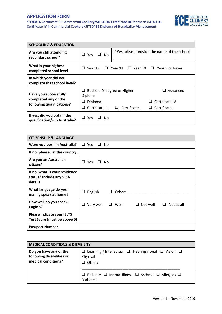## **APPLICATION FORM**

**SIT30816 Certificate III Commercial Cookery/SIT31016 Certificate III Patisserie/SIT40516 Certificate IV in Commercial Cookery/SIT50416 Diploma of Hospitality Management**



| <b>SCHOOLING &amp; EDUCATION</b>                            |                                             |                     |                                                                     |
|-------------------------------------------------------------|---------------------------------------------|---------------------|---------------------------------------------------------------------|
| Are you still attending<br>secondary school?                | $\Box$ Yes<br>$\Box$ No                     |                     | If Yes, please provide the name of the school                       |
| What is your highest<br>completed school level              |                                             |                     | $\Box$ Year 12 $\Box$ Year 11 $\Box$ Year 10 $\Box$ Year 9 or lower |
| In which year did you<br>complete that school level?        |                                             |                     |                                                                     |
| Have you successfully                                       | Bachelor's degree or Higher<br>u<br>Diploma |                     | Advanced<br>ப                                                       |
| completed any of the<br>following qualifications?           | Diploma<br>⊔                                |                     | Certificate IV<br>l 1                                               |
|                                                             | Certificate III<br>ப                        | Certificate II<br>ப | Certificate I<br>⊔.                                                 |
| If yes, did you obtain the<br>qualification/s in Australia? | $\Box$ Yes<br>No.                           |                     |                                                                     |

| <b>CITIZENSHIP &amp; LANGUAGE</b>                                    |                                                                   |
|----------------------------------------------------------------------|-------------------------------------------------------------------|
| Were you born in Australia?                                          | $\Box$ Yes<br>$\Box$ No                                           |
| If no, please list the country.                                      |                                                                   |
| Are you an Australian<br>citizen?                                    | Yes<br>ப<br>No                                                    |
| If no, what is your residence<br>status? Include any VISA<br>details |                                                                   |
| What language do you<br>mainly speak at home?                        | English<br>Other:<br>⊔<br>ப                                       |
| How well do you speak<br>English?                                    | Well<br>$\Box$ Not well<br>Not at all<br>Very well<br>⊔<br>⊔<br>⊔ |
| Please indicate your IELTS<br>Test Score (must be above 5)           |                                                                   |
| <b>Passport Number</b>                                               |                                                                   |

| <b>MEDICAL CONDITIONS &amp; DISABILITY</b>                                 |                                                                                                        |  |  |
|----------------------------------------------------------------------------|--------------------------------------------------------------------------------------------------------|--|--|
| Do you have any of the<br>following disabilities or<br>medical conditions? | $\Box$ Learning / Intellectual $\Box$ Hearing / Deaf $\Box$ Vision $\Box$<br>Physical<br>$\Box$ Other: |  |  |
|                                                                            | $\Box$ Epilepsy $\Box$ Mental illness $\Box$ Asthma $\Box$ Allergies $\Box$<br><b>Diabetes</b>         |  |  |